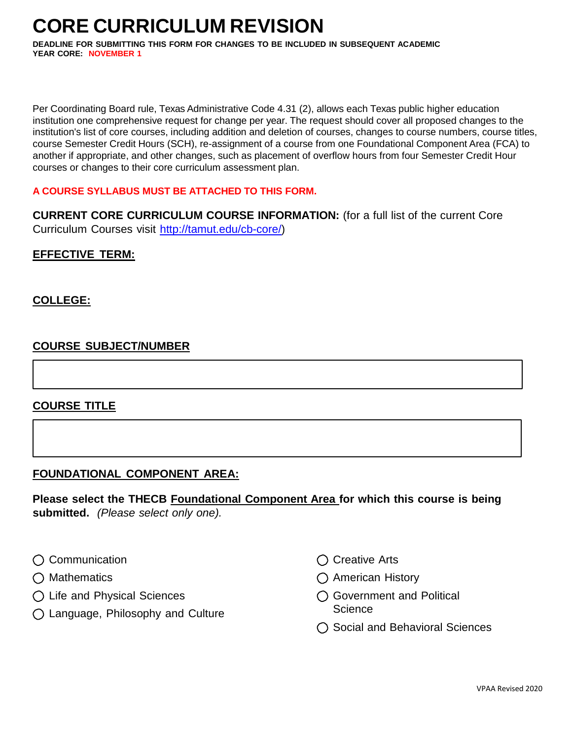# **CORE CURRICULUM REVISION**

**DEADLINE FOR SUBMITTING THIS FORM FOR CHANGES TO BE INCLUDED IN SUBSEQUENT ACADEMIC YEAR CORE: NOVEMBER 1**

Per Coordinating Board rule, Texas Administrative Code 4.31 (2), allows each Texas public higher education institution one comprehensive request for change per year. The request should cover all proposed changes to the institution's list of core courses, including addition and deletion of courses, changes to course numbers, course titles, course Semester Credit Hours (SCH), re-assignment of a course from one Foundational Component Area (FCA) to another if appropriate, and other changes, such as placement of overflow hours from four Semester Credit Hour courses or changes to their core curriculum assessment plan.

#### **A COURSE SYLLABUS MUST BE ATTACHED TO THIS FORM.**

**CURRENT CORE CURRICULUM COURSE INFORMATION:** (for a full list of the current Core Curriculum Courses visit [http://tamut.edu/cb-core/\)](http://tamut.edu/cb-core/)

## **EFFECTIVE TERM:**

**COLLEGE:**

## **COURSE SUBJECT/NUMBER**

#### **COURSE TITLE**

#### **FOUNDATIONAL COMPONENT AREA:**

**Please select the THECB Foundational Component Area for which this course is being submitted.** *(Please select only one).*

- $\bigcap$  Communication
- $\bigcap$  Mathematics
- ◯ Life and Physical Sciences
- Language, Philosophy and Culture
- ◯ Creative Arts
- ◯ American History
- ◯ Government and Political **Science**
- ◯ Social and Behavioral Sciences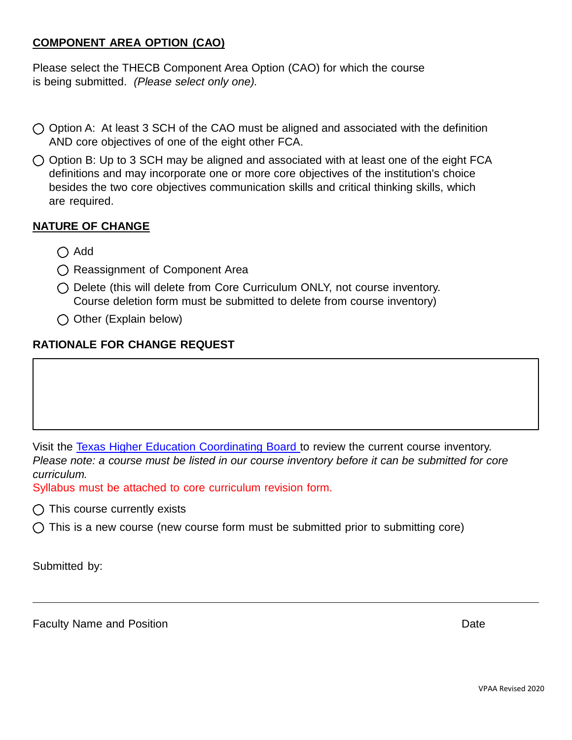# **COMPONENT AREA OPTION (CAO)**

Please select the THECB Component Area Option (CAO) for which the course is being submitted. *(Please select only one).*

- $\bigcirc$  Option A: At least 3 SCH of the CAO must be aligned and associated with the definition AND core objectives of one of the eight other FCA.
- $\bigcirc$  Option B: Up to 3 SCH may be aligned and associated with at least one of the eight FCA definitions and may incorporate one or more core objectives of the institution's choice besides the two core objectives communication skills and critical thinking skills, which are required.

# **NATURE OF CHANGE**

- $\bigcirc$  Add
- Reassignment of Component Area
- Delete (this will delete from Core Curriculum ONLY, not course inventory. Course deletion form must be submitted to delete from course inventory)
- $\bigcirc$  Other (Explain below)

# **RATIONALE FOR CHANGE REQUEST**

Visit the [Te](http://www.txhighereddata.org/interactive/UnivCourse/)xas Higher Education [Coordinating](http://www.txhighereddata.org/interactive/UnivCourse/) Board to review the current course inventory. *Please note: a course must be listed in our course inventory before it can be submitted for core curriculum.*

Syllabus must be attached to core curriculum revision form.

- $\bigcap$  This course currently exists
- $\bigcirc$  This is a new course (new course form must be submitted prior to submitting core)

Submitted by:

Faculty Name and Position **Date Date Date Date Date Date Date Date Date**